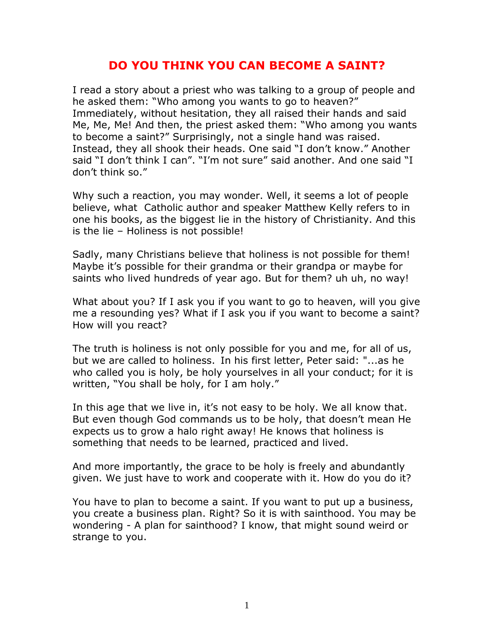## **DO YOU THINK YOU CAN BECOME A SAINT?**

I read a story about a priest who was talking to a group of people and he asked them: "Who among you wants to go to heaven?" Immediately, without hesitation, they all raised their hands and said Me, Me, Me! And then, the priest asked them: "Who among you wants to become a saint?" Surprisingly, not a single hand was raised. Instead, they all shook their heads. One said "I don't know." Another said "I don't think I can". "I'm not sure" said another. And one said "I don't think so."

Why such a reaction, you may wonder. Well, it seems a lot of people believe, what Catholic author and speaker Matthew Kelly refers to in one his books, as the biggest lie in the history of Christianity. And this is the lie – Holiness is not possible!

Sadly, many Christians believe that holiness is not possible for them! Maybe it's possible for their grandma or their grandpa or maybe for saints who lived hundreds of year ago. But for them? uh uh, no way!

What about you? If I ask you if you want to go to heaven, will you give me a resounding yes? What if I ask you if you want to become a saint? How will you react?

The truth is holiness is not only possible for you and me, for all of us, but we are called to holiness. In his first letter, Peter said: "...as he who called you is holy, be holy yourselves in all your conduct; for it is written, "You shall be holy, for I am holy."

In this age that we live in, it's not easy to be holy. We all know that. But even though God commands us to be holy, that doesn't mean He expects us to grow a halo right away! He knows that holiness is something that needs to be learned, practiced and lived.

And more importantly, the grace to be holy is freely and abundantly given. We just have to work and cooperate with it. How do you do it?

You have to plan to become a saint. If you want to put up a business, you create a business plan. Right? So it is with sainthood. You may be wondering - A plan for sainthood? I know, that might sound weird or strange to you.